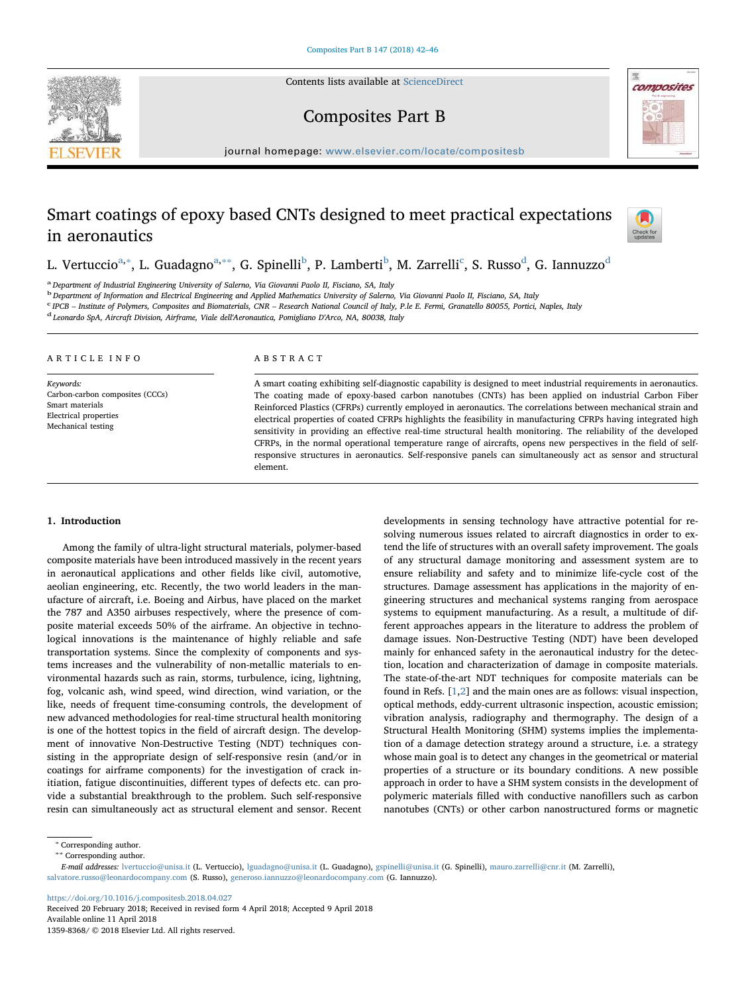Contents lists available at [ScienceDirect](http://www.sciencedirect.com/science/journal/13598368)





# Composites Part B

journal homepage: [www.elsevier.com/locate/compositesb](https://www.elsevier.com/locate/compositesb)

# Smart coatings of epoxy based CNTs designed to meet practical expectations in aeronautics



L. Vertuccio<sup>[a](#page-0-0),</sup>\*, L. Guadagno<sup>[a,](#page-0-0)</sup>\*\*, G. Spinelli<sup>[b](#page-0-3)</sup>, P. Lamberti<sup>b</sup>, M. Zarrelli<sup>[c](#page-0-4)</sup>, S. Russo<sup>[d](#page-0-5)</sup>, G. Iannuzzo<sup>d</sup>

<span id="page-0-0"></span>a Department of Industrial Engineering University of Salerno, Via Giovanni Paolo II, Fisciano, SA, Italy

<span id="page-0-3"></span><sup>b</sup> Department of Information and Electrical Engineering and Applied Mathematics University of Salerno, Via Giovanni Paolo II, Fisciano, SA, Italy

<span id="page-0-4"></span><sup>c</sup> IPCB – Institute of Polymers, Composites and Biomaterials, CNR – Research National Council of Italy, P.le E. Fermi, Granatello 80055, Portici, Naples, Italy<br><sup>d</sup> Leonardo SpA, Aircraft Division, Airframe, Viale dell'Aer

<span id="page-0-5"></span>

#### ARTICLE INFO

Keywords: Carbon-carbon composites (CCCs) Smart materials Electrical properties Mechanical testing

### ABSTRACT

A smart coating exhibiting self-diagnostic capability is designed to meet industrial requirements in aeronautics. The coating made of epoxy-based carbon nanotubes (CNTs) has been applied on industrial Carbon Fiber Reinforced Plastics (CFRPs) currently employed in aeronautics. The correlations between mechanical strain and electrical properties of coated CFRPs highlights the feasibility in manufacturing CFRPs having integrated high sensitivity in providing an effective real-time structural health monitoring. The reliability of the developed CFRPs, in the normal operational temperature range of aircrafts, opens new perspectives in the field of selfresponsive structures in aeronautics. Self-responsive panels can simultaneously act as sensor and structural element.

# 1. Introduction

Among the family of ultra-light structural materials, polymer-based composite materials have been introduced massively in the recent years in aeronautical applications and other fields like civil, automotive, aeolian engineering, etc. Recently, the two world leaders in the manufacture of aircraft, i.e. Boeing and Airbus, have placed on the market the 787 and A350 airbuses respectively, where the presence of composite material exceeds 50% of the airframe. An objective in technological innovations is the maintenance of highly reliable and safe transportation systems. Since the complexity of components and systems increases and the vulnerability of non-metallic materials to environmental hazards such as rain, storms, turbulence, icing, lightning, fog, volcanic ash, wind speed, wind direction, wind variation, or the like, needs of frequent time-consuming controls, the development of new advanced methodologies for real-time structural health monitoring is one of the hottest topics in the field of aircraft design. The development of innovative Non-Destructive Testing (NDT) techniques consisting in the appropriate design of self-responsive resin (and/or in coatings for airframe components) for the investigation of crack initiation, fatigue discontinuities, different types of defects etc. can provide a substantial breakthrough to the problem. Such self-responsive resin can simultaneously act as structural element and sensor. Recent

developments in sensing technology have attractive potential for resolving numerous issues related to aircraft diagnostics in order to extend the life of structures with an overall safety improvement. The goals of any structural damage monitoring and assessment system are to ensure reliability and safety and to minimize life-cycle cost of the structures. Damage assessment has applications in the majority of engineering structures and mechanical systems ranging from aerospace systems to equipment manufacturing. As a result, a multitude of different approaches appears in the literature to address the problem of damage issues. Non-Destructive Testing (NDT) have been developed mainly for enhanced safety in the aeronautical industry for the detection, location and characterization of damage in composite materials. The state-of-the-art NDT techniques for composite materials can be found in Refs. [[1](#page-4-0),[2](#page-4-1)] and the main ones are as follows: visual inspection, optical methods, eddy-current ultrasonic inspection, acoustic emission; vibration analysis, radiography and thermography. The design of a Structural Health Monitoring (SHM) systems implies the implementation of a damage detection strategy around a structure, i.e. a strategy whose main goal is to detect any changes in the geometrical or material properties of a structure or its boundary conditions. A new possible approach in order to have a SHM system consists in the development of polymeric materials filled with conductive nanofillers such as carbon nanotubes (CNTs) or other carbon nanostructured forms or magnetic

<https://doi.org/10.1016/j.compositesb.2018.04.027>

<span id="page-0-2"></span><span id="page-0-1"></span><sup>∗</sup> Corresponding author.

<sup>∗∗</sup> Corresponding author.

E-mail addresses: [lvertuccio@unisa.it](mailto:lvertuccio@unisa.it) (L. Vertuccio), [lguadagno@unisa.it](mailto:lguadagno@unisa.it) (L. Guadagno), [gspinelli@unisa.it](mailto:gspinelli@unisa.it) (G. Spinelli), [mauro.zarrelli@cnr.it](mailto:mauro.zarrelli@cnr.it) (M. Zarrelli), [salvatore.russo@leonardocompany.com](mailto:salvatore.russo@leonardocompany.com) (S. Russo), [generoso.iannuzzo@leonardocompany.com](mailto:generoso.iannuzzo@leonardocompany.com) (G. Iannuzzo).

Received 20 February 2018; Received in revised form 4 April 2018; Accepted 9 April 2018 Available online 11 April 2018 1359-8368/ © 2018 Elsevier Ltd. All rights reserved.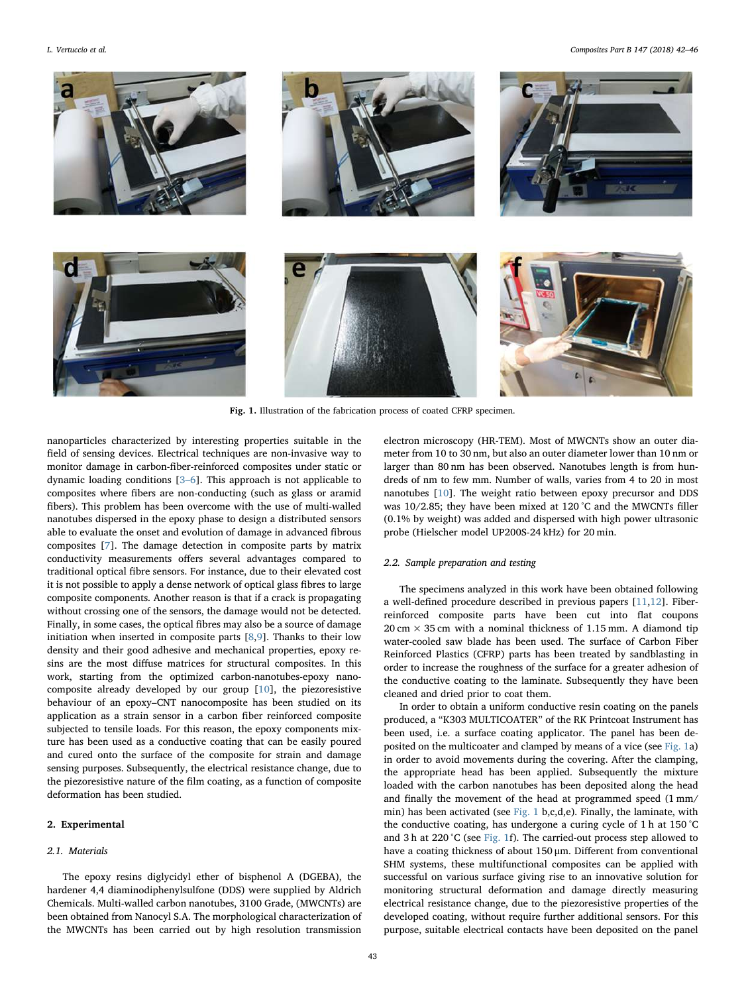<span id="page-1-0"></span>

L. Vertuccio et al. *Composites Part B 147 (2018) 42–46*



Fig. 1. Illustration of the fabrication process of coated CFRP specimen.

nanoparticles characterized by interesting properties suitable in the field of sensing devices. Electrical techniques are non-invasive way to monitor damage in carbon-fiber-reinforced composites under static or dynamic loading conditions [\[3](#page-4-2)–6]. This approach is not applicable to composites where fibers are non-conducting (such as glass or aramid fibers). This problem has been overcome with the use of multi-walled nanotubes dispersed in the epoxy phase to design a distributed sensors able to evaluate the onset and evolution of damage in advanced fibrous composites [[7](#page-4-3)]. The damage detection in composite parts by matrix conductivity measurements offers several advantages compared to traditional optical fibre sensors. For instance, due to their elevated cost it is not possible to apply a dense network of optical glass fibres to large composite components. Another reason is that if a crack is propagating without crossing one of the sensors, the damage would not be detected. Finally, in some cases, the optical fibres may also be a source of damage initiation when inserted in composite parts [\[8,](#page-4-4)[9\]](#page-4-5). Thanks to their low density and their good adhesive and mechanical properties, epoxy resins are the most diffuse matrices for structural composites. In this work, starting from the optimized carbon-nanotubes-epoxy nanocomposite already developed by our group [\[10](#page-4-6)], the piezoresistive behaviour of an epoxy–CNT nanocomposite has been studied on its application as a strain sensor in a carbon fiber reinforced composite subjected to tensile loads. For this reason, the epoxy components mixture has been used as a conductive coating that can be easily poured and cured onto the surface of the composite for strain and damage sensing purposes. Subsequently, the electrical resistance change, due to the piezoresistive nature of the film coating, as a function of composite deformation has been studied.

# 2. Experimental

# 2.1. Materials

The epoxy resins diglycidyl ether of bisphenol A (DGEBA), the hardener 4,4 diaminodiphenylsulfone (DDS) were supplied by Aldrich Chemicals. Multi-walled carbon nanotubes, 3100 Grade, (MWCNTs) are been obtained from Nanocyl S.A. The morphological characterization of the MWCNTs has been carried out by high resolution transmission electron microscopy (HR-TEM). Most of MWCNTs show an outer diameter from 10 to 30 nm, but also an outer diameter lower than 10 nm or larger than 80 nm has been observed. Nanotubes length is from hundreds of nm to few mm. Number of walls, varies from 4 to 20 in most nanotubes [[10\]](#page-4-6). The weight ratio between epoxy precursor and DDS was 10/2.85; they have been mixed at 120 °C and the MWCNTs filler (0.1% by weight) was added and dispersed with high power ultrasonic probe (Hielscher model UP200S-24 kHz) for 20 min.

## 2.2. Sample preparation and testing

The specimens analyzed in this work have been obtained following a well-defined procedure described in previous papers [\[11](#page-4-7)[,12](#page-4-8)]. Fiberreinforced composite parts have been cut into flat coupons  $20 \text{ cm} \times 35 \text{ cm}$  with a nominal thickness of 1.15 mm. A diamond tip water-cooled saw blade has been used. The surface of Carbon Fiber Reinforced Plastics (CFRP) parts has been treated by sandblasting in order to increase the roughness of the surface for a greater adhesion of the conductive coating to the laminate. Subsequently they have been cleaned and dried prior to coat them.

In order to obtain a uniform conductive resin coating on the panels produced, a "K303 MULTICOATER" of the RK Printcoat Instrument has been used, i.e. a surface coating applicator. The panel has been deposited on the multicoater and clamped by means of a vice (see [Fig. 1a](#page-1-0)) in order to avoid movements during the covering. After the clamping, the appropriate head has been applied. Subsequently the mixture loaded with the carbon nanotubes has been deposited along the head and finally the movement of the head at programmed speed (1 mm/ min) has been activated (see [Fig. 1](#page-1-0) b,c,d,e). Finally, the laminate, with the conductive coating, has undergone a curing cycle of 1 h at 150 °C and 3 h at 220 °C (see [Fig. 1f](#page-1-0)). The carried-out process step allowed to have a coating thickness of about 150 μm. Different from conventional SHM systems, these multifunctional composites can be applied with successful on various surface giving rise to an innovative solution for monitoring structural deformation and damage directly measuring electrical resistance change, due to the piezoresistive properties of the developed coating, without require further additional sensors. For this purpose, suitable electrical contacts have been deposited on the panel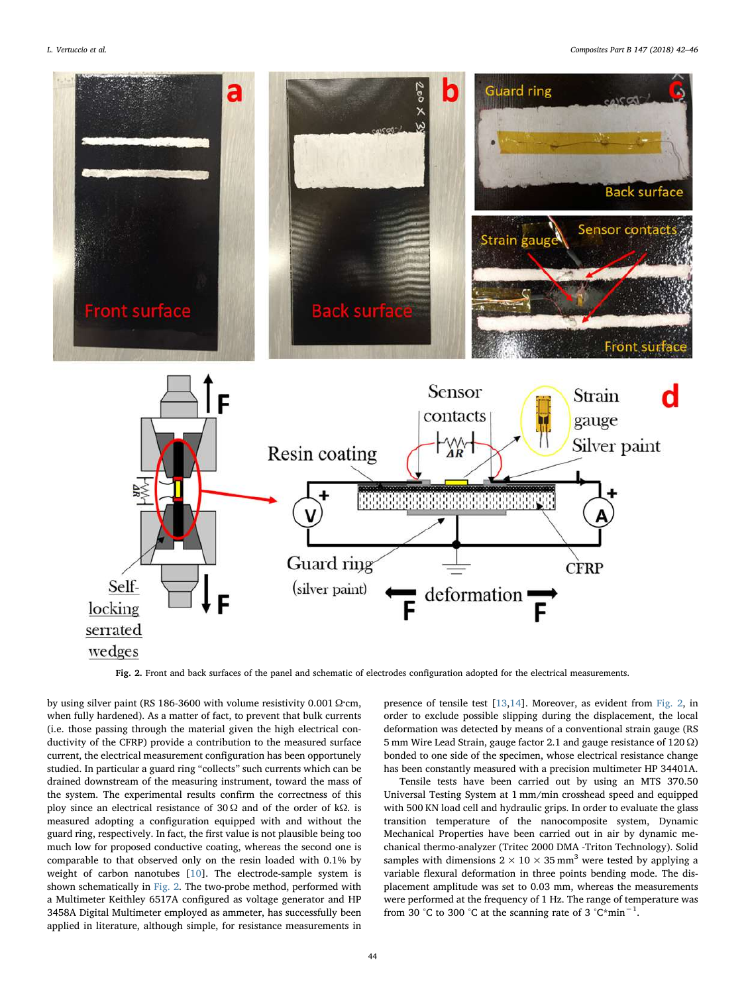<span id="page-2-0"></span>

Fig. 2. Front and back surfaces of the panel and schematic of electrodes configuration adopted for the electrical measurements.

by using silver paint (RS 186-3600 with volume resistivity 0.001  $\Omega$ ·cm, when fully hardened). As a matter of fact, to prevent that bulk currents (i.e. those passing through the material given the high electrical conductivity of the CFRP) provide a contribution to the measured surface current, the electrical measurement configuration has been opportunely studied. In particular a guard ring "collects" such currents which can be drained downstream of the measuring instrument, toward the mass of the system. The experimental results confirm the correctness of this ploy since an electrical resistance of 30 Ω and of the order of kΩ. is measured adopting a configuration equipped with and without the guard ring, respectively. In fact, the first value is not plausible being too much low for proposed conductive coating, whereas the second one is comparable to that observed only on the resin loaded with 0.1% by weight of carbon nanotubes [[10\]](#page-4-6). The electrode-sample system is shown schematically in [Fig. 2.](#page-2-0) The two-probe method, performed with a Multimeter Keithley 6517A configured as voltage generator and HP 3458A Digital Multimeter employed as ammeter, has successfully been applied in literature, although simple, for resistance measurements in presence of tensile test [\[13](#page-4-9)[,14](#page-4-10)]. Moreover, as evident from [Fig. 2](#page-2-0), in order to exclude possible slipping during the displacement, the local deformation was detected by means of a conventional strain gauge (RS 5 mm Wire Lead Strain, gauge factor 2.1 and gauge resistance of 120 Ω) bonded to one side of the specimen, whose electrical resistance change has been constantly measured with a precision multimeter HP 34401A.

Tensile tests have been carried out by using an MTS 370.50 Universal Testing System at 1 mm/min crosshead speed and equipped with 500 KN load cell and hydraulic grips. In order to evaluate the glass transition temperature of the nanocomposite system, Dynamic Mechanical Properties have been carried out in air by dynamic mechanical thermo-analyzer (Tritec 2000 DMA -Triton Technology). Solid samples with dimensions  $2 \times 10 \times 35$  mm<sup>3</sup> were tested by applying a variable flexural deformation in three points bending mode. The displacement amplitude was set to 0.03 mm, whereas the measurements were performed at the frequency of 1 Hz. The range of temperature was from 30 °C to 300 °C at the scanning rate of 3 °C\*min<sup>-1</sup>.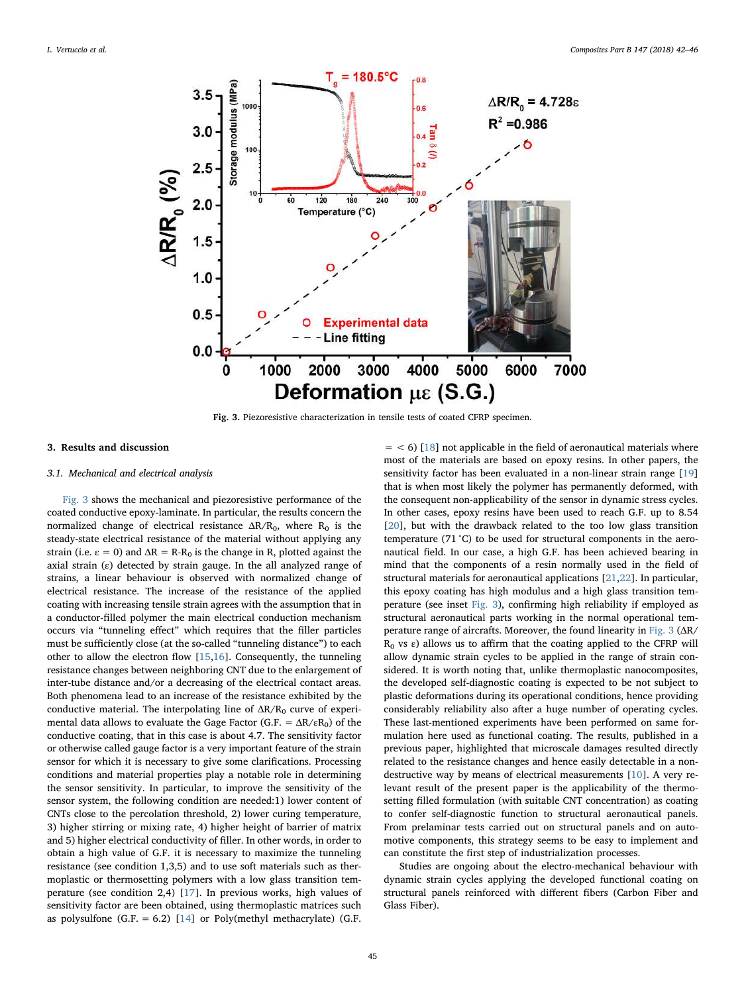<span id="page-3-0"></span>

Fig. 3. Piezoresistive characterization in tensile tests of coated CFRP specimen.

#### 3. Results and discussion

## 3.1. Mechanical and electrical analysis

[Fig. 3](#page-3-0) shows the mechanical and piezoresistive performance of the coated conductive epoxy-laminate. In particular, the results concern the normalized change of electrical resistance  $\Delta R/R_0$ , where  $R_0$  is the steady-state electrical resistance of the material without applying any strain (i.e.  $\varepsilon = 0$ ) and  $\Delta R = R-R_0$  is the change in R, plotted against the axial strain  $(\varepsilon)$  detected by strain gauge. In the all analyzed range of strains, a linear behaviour is observed with normalized change of electrical resistance. The increase of the resistance of the applied coating with increasing tensile strain agrees with the assumption that in a conductor-filled polymer the main electrical conduction mechanism occurs via "tunneling effect" which requires that the filler particles must be sufficiently close (at the so-called "tunneling distance") to each other to allow the electron flow [\[15](#page-4-11)[,16](#page-4-12)]. Consequently, the tunneling resistance changes between neighboring CNT due to the enlargement of inter-tube distance and/or a decreasing of the electrical contact areas. Both phenomena lead to an increase of the resistance exhibited by the conductive material. The interpolating line of  $\Delta R/R_0$  curve of experimental data allows to evaluate the Gage Factor (G.F. =  $\Delta R / \epsilon R_0$ ) of the conductive coating, that in this case is about 4.7. The sensitivity factor or otherwise called gauge factor is a very important feature of the strain sensor for which it is necessary to give some clarifications. Processing conditions and material properties play a notable role in determining the sensor sensitivity. In particular, to improve the sensitivity of the sensor system, the following condition are needed:1) lower content of CNTs close to the percolation threshold, 2) lower curing temperature, 3) higher stirring or mixing rate, 4) higher height of barrier of matrix and 5) higher electrical conductivity of filler. In other words, in order to obtain a high value of G.F. it is necessary to maximize the tunneling resistance (see condition 1,3,5) and to use soft materials such as thermoplastic or thermosetting polymers with a low glass transition temperature (see condition 2,4) [[17\]](#page-4-13). In previous works, high values of sensitivity factor are been obtained, using thermoplastic matrices such as polysulfone  $(G.F. = 6.2)$  [[14\]](#page-4-10) or Poly(methyl methacrylate) (G.F.

 $=$  < 6) [[18\]](#page-4-14) not applicable in the field of aeronautical materials where most of the materials are based on epoxy resins. In other papers, the sensitivity factor has been evaluated in a non-linear strain range [\[19](#page-4-15)] that is when most likely the polymer has permanently deformed, with the consequent non-applicability of the sensor in dynamic stress cycles. In other cases, epoxy resins have been used to reach G.F. up to 8.54 [[20\]](#page-4-16), but with the drawback related to the too low glass transition temperature (71 °C) to be used for structural components in the aeronautical field. In our case, a high G.F. has been achieved bearing in mind that the components of a resin normally used in the field of structural materials for aeronautical applications [[21,](#page-4-17)[22\]](#page-4-18). In particular, this epoxy coating has high modulus and a high glass transition temperature (see inset [Fig. 3\)](#page-3-0), confirming high reliability if employed as structural aeronautical parts working in the normal operational temperature range of aircrafts. Moreover, the found linearity in [Fig. 3](#page-3-0) (ΔR/  $R_0$  vs ε) allows us to affirm that the coating applied to the CFRP will allow dynamic strain cycles to be applied in the range of strain considered. It is worth noting that, unlike thermoplastic nanocomposites, the developed self-diagnostic coating is expected to be not subject to plastic deformations during its operational conditions, hence providing considerably reliability also after a huge number of operating cycles. These last-mentioned experiments have been performed on same formulation here used as functional coating. The results, published in a previous paper, highlighted that microscale damages resulted directly related to the resistance changes and hence easily detectable in a nondestructive way by means of electrical measurements [\[10](#page-4-6)]. A very relevant result of the present paper is the applicability of the thermosetting filled formulation (with suitable CNT concentration) as coating to confer self-diagnostic function to structural aeronautical panels. From prelaminar tests carried out on structural panels and on automotive components, this strategy seems to be easy to implement and can constitute the first step of industrialization processes.

Studies are ongoing about the electro-mechanical behaviour with dynamic strain cycles applying the developed functional coating on structural panels reinforced with different fibers (Carbon Fiber and Glass Fiber).